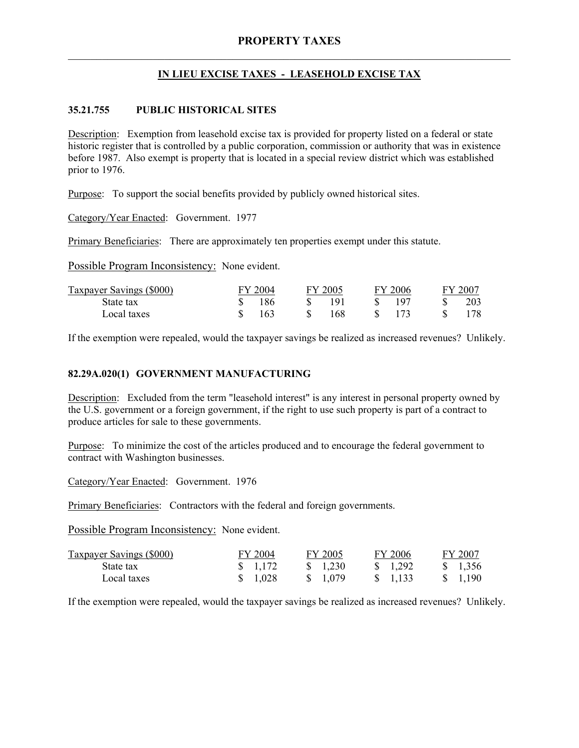# **IN LIEU EXCISE TAXES - LEASEHOLD EXCISE TAX**

# **35.21.755 PUBLIC HISTORICAL SITES**

Description: Exemption from leasehold excise tax is provided for property listed on a federal or state historic register that is controlled by a public corporation, commission or authority that was in existence before 1987. Also exempt is property that is located in a special review district which was established prior to 1976.

Purpose: To support the social benefits provided by publicly owned historical sites.

Category/Year Enacted: Government. 1977

Primary Beneficiaries: There are approximately ten properties exempt under this statute.

Possible Program Inconsistency: None evident.

| Taxpayer Savings (\$000) | FY 2004 | FY 2005 | FY 2006 | FY 2007 |
|--------------------------|---------|---------|---------|---------|
| State tax                | 186     | 191     | 107     | 203     |
| Local taxes              | 163     | 168     |         |         |

If the exemption were repealed, would the taxpayer savings be realized as increased revenues? Unlikely.

## **82.29A.020(1) GOVERNMENT MANUFACTURING**

Description: Excluded from the term "leasehold interest" is any interest in personal property owned by the U.S. government or a foreign government, if the right to use such property is part of a contract to produce articles for sale to these governments.

Purpose: To minimize the cost of the articles produced and to encourage the federal government to contract with Washington businesses.

Category/Year Enacted: Government. 1976

Primary Beneficiaries: Contractors with the federal and foreign governments.

Possible Program Inconsistency: None evident.

| <b>Taxpayer Savings (\$000)</b> | FY 2004          | FY 2005            | FY 2006           | FY 2007            |
|---------------------------------|------------------|--------------------|-------------------|--------------------|
| State tax                       | $\frac{1172}{ }$ | $\frac{\$}{1,230}$ | $\frac{1,292}{ }$ | $\frac{\$}{1.356}$ |
| Local taxes                     | \$ 1.028         | \$ 1.079           | $\frac{1.133}{ }$ | \$ 1.190           |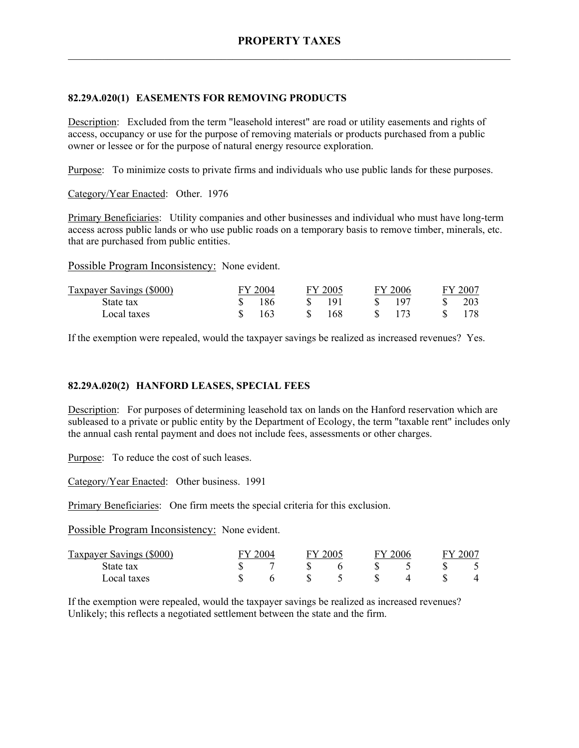# **82.29A.020(1) EASEMENTS FOR REMOVING PRODUCTS**

Description: Excluded from the term "leasehold interest" are road or utility easements and rights of access, occupancy or use for the purpose of removing materials or products purchased from a public owner or lessee or for the purpose of natural energy resource exploration.

Purpose: To minimize costs to private firms and individuals who use public lands for these purposes.

Category/Year Enacted: Other. 1976

Primary Beneficiaries: Utility companies and other businesses and individual who must have long-term access across public lands or who use public roads on a temporary basis to remove timber, minerals, etc. that are purchased from public entities.

Possible Program Inconsistency: None evident.

| Taxpayer Savings (\$000) | FY 2004 | FY 2005 | FY 2006 | $FY$ 200 $^{\circ}$ |
|--------------------------|---------|---------|---------|---------------------|
| State tax                | 186     | 191     | 107     | 203                 |
| Local taxes              | 163     | 168     | 173     |                     |

If the exemption were repealed, would the taxpayer savings be realized as increased revenues? Yes.

# **82.29A.020(2) HANFORD LEASES, SPECIAL FEES**

Description: For purposes of determining leasehold tax on lands on the Hanford reservation which are subleased to a private or public entity by the Department of Ecology, the term "taxable rent" includes only the annual cash rental payment and does not include fees, assessments or other charges.

Purpose: To reduce the cost of such leases.

Category/Year Enacted: Other business. 1991

Primary Beneficiaries: One firm meets the special criteria for this exclusion.

Possible Program Inconsistency: None evident.

| Taxpayer Savings (\$000) | 2004 | FY 2005 |  | 2006 | $-200^-$ |
|--------------------------|------|---------|--|------|----------|
| State tax                |      |         |  |      |          |
| Local taxes              |      |         |  |      |          |

If the exemption were repealed, would the taxpayer savings be realized as increased revenues? Unlikely; this reflects a negotiated settlement between the state and the firm.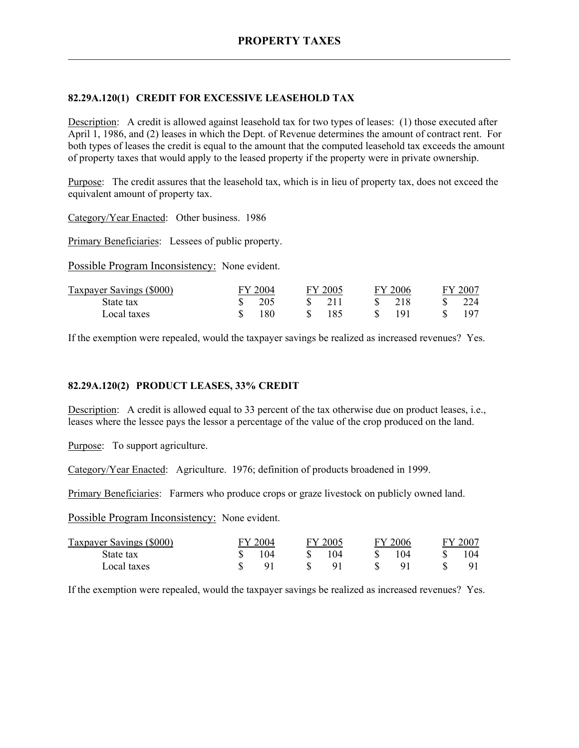# **82.29A.120(1) CREDIT FOR EXCESSIVE LEASEHOLD TAX**

Description: A credit is allowed against leasehold tax for two types of leases: (1) those executed after April 1, 1986, and (2) leases in which the Dept. of Revenue determines the amount of contract rent. For both types of leases the credit is equal to the amount that the computed leasehold tax exceeds the amount of property taxes that would apply to the leased property if the property were in private ownership.

Purpose: The credit assures that the leasehold tax, which is in lieu of property tax, does not exceed the equivalent amount of property tax.

Category/Year Enacted: Other business. 1986

Primary Beneficiaries: Lessees of public property.

Possible Program Inconsistency: None evident.

| Taxpayer Savings (\$000) | FY 2004 | FY 2005            | <b>FY 2006</b> | FY 2007 |
|--------------------------|---------|--------------------|----------------|---------|
| State tax                | 205     | $-21$ <sup>1</sup> | -218           | 224     |
| Local taxes              | 180     | 185                | 101            | 197     |

If the exemption were repealed, would the taxpayer savings be realized as increased revenues? Yes.

### **82.29A.120(2) PRODUCT LEASES, 33% CREDIT**

Description: A credit is allowed equal to 33 percent of the tax otherwise due on product leases, i.e., leases where the lessee pays the lessor a percentage of the value of the crop produced on the land.

Purpose: To support agriculture.

Category/Year Enacted: Agriculture. 1976; definition of products broadened in 1999.

Primary Beneficiaries: Farmers who produce crops or graze livestock on publicly owned land.

Possible Program Inconsistency: None evident.

| <b>Taxpayer Savings (\$000)</b> | FY 2004 | FY 2005 | FY 2006 | FY 2007 |
|---------------------------------|---------|---------|---------|---------|
| State tax                       | 104     | 104     | 104     |         |
| Local taxes                     |         | Q 1     |         | 91      |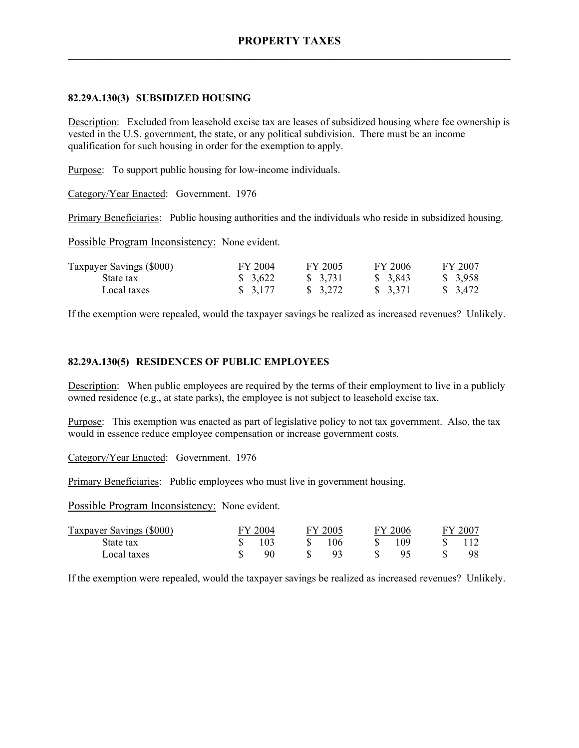## **82.29A.130(3) SUBSIDIZED HOUSING**

Description: Excluded from leasehold excise tax are leases of subsidized housing where fee ownership is vested in the U.S. government, the state, or any political subdivision. There must be an income qualification for such housing in order for the exemption to apply.

Purpose: To support public housing for low-income individuals.

Category/Year Enacted: Government. 1976

Primary Beneficiaries: Public housing authorities and the individuals who reside in subsidized housing.

Possible Program Inconsistency: None evident.

| <b>Taxpayer Savings (\$000)</b> | FY 2004             | FY 2005  | FY 2006             | FY 2007  |
|---------------------------------|---------------------|----------|---------------------|----------|
| State tax                       | $\frac{1}{2}$ 3.622 | \$3,731  | \$3,843             | \$3,958  |
| Local taxes                     | \$3,177             | \$ 3,272 | $\frac{1}{2}$ 3,371 | \$ 3,472 |

If the exemption were repealed, would the taxpayer savings be realized as increased revenues? Unlikely.

# **82.29A.130(5) RESIDENCES OF PUBLIC EMPLOYEES**

Description: When public employees are required by the terms of their employment to live in a publicly owned residence (e.g., at state parks), the employee is not subject to leasehold excise tax.

Purpose: This exemption was enacted as part of legislative policy to not tax government. Also, the tax would in essence reduce employee compensation or increase government costs.

Category/Year Enacted: Government. 1976

Primary Beneficiaries: Public employees who must live in government housing.

Possible Program Inconsistency: None evident.

| Taxpayer Savings (\$000) | FY 2004 | FY 2005 | FY 2006 | FY 2007 |
|--------------------------|---------|---------|---------|---------|
| State tax                | 103     | 106     | 109     |         |
| Local taxes              | 90      |         |         |         |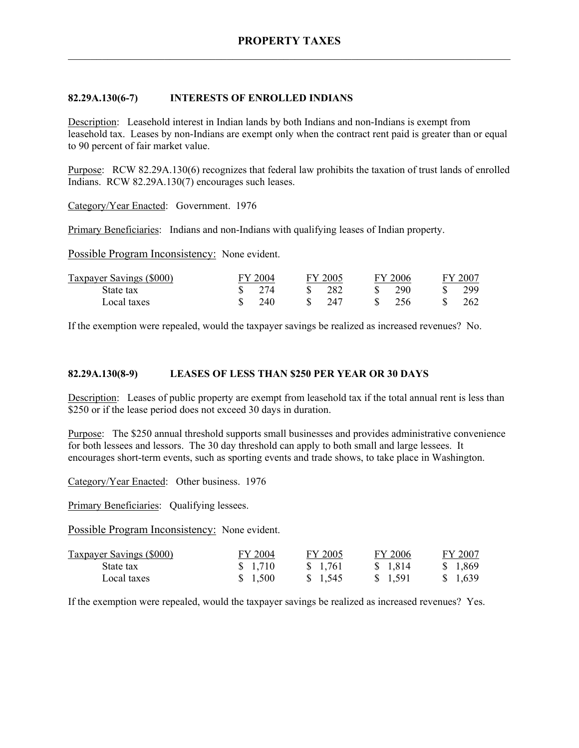## **82.29A.130(6-7) INTERESTS OF ENROLLED INDIANS**

Description: Leasehold interest in Indian lands by both Indians and non-Indians is exempt from leasehold tax. Leases by non-Indians are exempt only when the contract rent paid is greater than or equal to 90 percent of fair market value.

Purpose: RCW 82.29A.130(6) recognizes that federal law prohibits the taxation of trust lands of enrolled Indians. RCW 82.29A.130(7) encourages such leases.

Category/Year Enacted: Government. 1976

Primary Beneficiaries: Indians and non-Indians with qualifying leases of Indian property.

Possible Program Inconsistency: None evident.

| Taxpayer Savings (\$000) | FY 2004 | FY 2005 | FY 2006 | FY 2007 |
|--------------------------|---------|---------|---------|---------|
| State tax                | 274     | 282     | 290     | 299     |
| Local taxes              | 240     | 247     | 256     | 262     |

If the exemption were repealed, would the taxpayer savings be realized as increased revenues? No.

## **82.29A.130(8-9) LEASES OF LESS THAN \$250 PER YEAR OR 30 DAYS**

Description: Leases of public property are exempt from leasehold tax if the total annual rent is less than \$250 or if the lease period does not exceed 30 days in duration.

Purpose: The \$250 annual threshold supports small businesses and provides administrative convenience for both lessees and lessors. The 30 day threshold can apply to both small and large lessees. It encourages short-term events, such as sporting events and trade shows, to take place in Washington.

Category/Year Enacted: Other business. 1976

Primary Beneficiaries: Qualifying lessees.

Possible Program Inconsistency: None evident.

| <b>Taxpayer Savings (\$000)</b> | FY 2004 | FY 2005 | FY 2006  | FY 2007  |
|---------------------------------|---------|---------|----------|----------|
| State tax                       | \$1,710 | \$1,761 | \$ 1.814 | \$ 1.869 |
| Local taxes                     | \$1,500 | \$1,545 | \$1,591  | \$ 1.639 |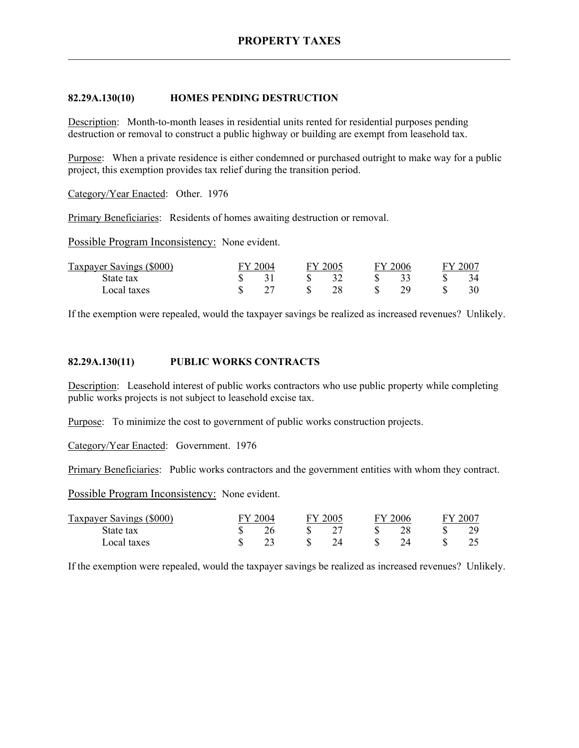### **82.29A.130(10) HOMES PENDING DESTRUCTION**

Description: Month-to-month leases in residential units rented for residential purposes pending destruction or removal to construct a public highway or building are exempt from leasehold tax.

Purpose: When a private residence is either condemned or purchased outright to make way for a public project, this exemption provides tax relief during the transition period.

Category/Year Enacted: Other. 1976

Primary Beneficiaries: Residents of homes awaiting destruction or removal.

Possible Program Inconsistency: None evident.

| Taxpayer Savings (\$000) | 2004 | FY 2005 | $\sim$ | $\degree$ 2006 | FY 2007 |
|--------------------------|------|---------|--------|----------------|---------|
| State tax                |      |         |        |                |         |
| Local taxes              |      | 28      |        |                |         |

If the exemption were repealed, would the taxpayer savings be realized as increased revenues? Unlikely.

#### **82.29A.130(11) PUBLIC WORKS CONTRACTS**

Description: Leasehold interest of public works contractors who use public property while completing public works projects is not subject to leasehold excise tax.

Purpose: To minimize the cost to government of public works construction projects.

Category/Year Enacted: Government. 1976

Primary Beneficiaries: Public works contractors and the government entities with whom they contract.

Possible Program Inconsistency: None evident.

| Taxpayer Savings (\$000) | 12004<br>FY 2005 |  | 2006 |  | $-200^\circ$ |  |  |
|--------------------------|------------------|--|------|--|--------------|--|--|
| State tax                |                  |  |      |  |              |  |  |
| Local taxes              |                  |  |      |  |              |  |  |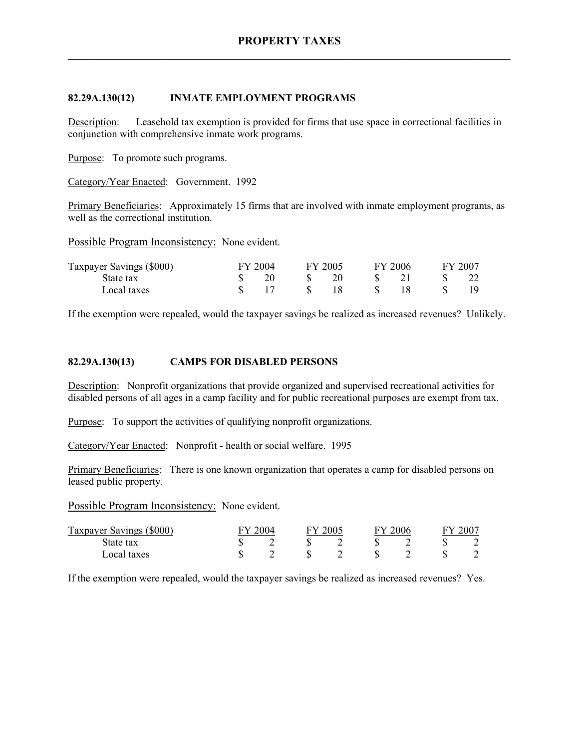### **82.29A.130(12) INMATE EMPLOYMENT PROGRAMS**

Description: Leasehold tax exemption is provided for firms that use space in correctional facilities in conjunction with comprehensive inmate work programs.

Purpose: To promote such programs.

Category/Year Enacted: Government. 1992

Primary Beneficiaries: Approximately 15 firms that are involved with inmate employment programs, as well as the correctional institution.

Possible Program Inconsistency: None evident.

| Taxpayer Savings (\$000) | Y 2004 | FY 2005 | EV. | 12006 | FY 2007 |
|--------------------------|--------|---------|-----|-------|---------|
| State tax                |        |         |     |       |         |
| Local taxes              |        |         |     |       |         |

If the exemption were repealed, would the taxpayer savings be realized as increased revenues? Unlikely.

### **82.29A.130(13) CAMPS FOR DISABLED PERSONS**

Description: Nonprofit organizations that provide organized and supervised recreational activities for disabled persons of all ages in a camp facility and for public recreational purposes are exempt from tax.

Purpose: To support the activities of qualifying nonprofit organizations.

Category/Year Enacted: Nonprofit - health or social welfare. 1995

Primary Beneficiaries: There is one known organization that operates a camp for disabled persons on leased public property.

Possible Program Inconsistency: None evident.

| Taxpayer Savings (\$000) | 2004 | 2005 | EV | 2006 | $200^{-}$ |
|--------------------------|------|------|----|------|-----------|
| State tax                |      |      |    |      |           |
| Local taxes              |      |      |    |      |           |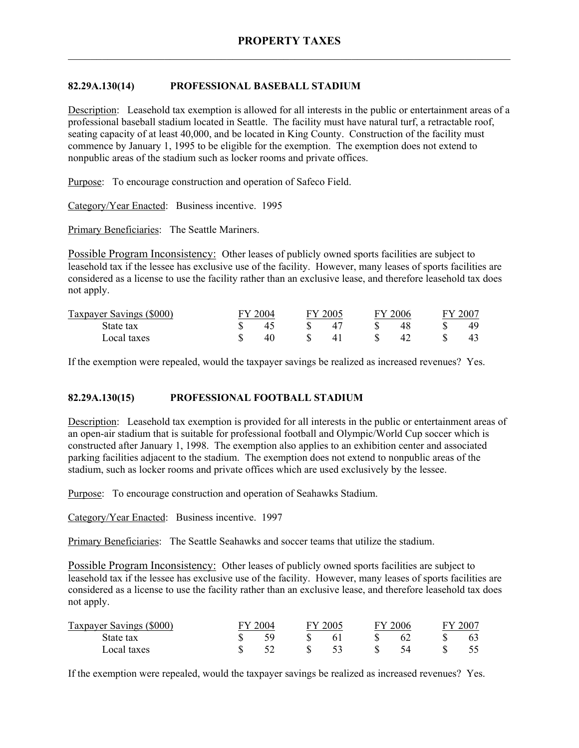# **82.29A.130(14) PROFESSIONAL BASEBALL STADIUM**

Description: Leasehold tax exemption is allowed for all interests in the public or entertainment areas of a professional baseball stadium located in Seattle. The facility must have natural turf, a retractable roof, seating capacity of at least 40,000, and be located in King County. Construction of the facility must commence by January 1, 1995 to be eligible for the exemption. The exemption does not extend to nonpublic areas of the stadium such as locker rooms and private offices.

Purpose: To encourage construction and operation of Safeco Field.

Category/Year Enacted: Business incentive. 1995

Primary Beneficiaries: The Seattle Mariners.

Possible Program Inconsistency: Other leases of publicly owned sports facilities are subject to leasehold tax if the lessee has exclusive use of the facility. However, many leases of sports facilities are considered as a license to use the facility rather than an exclusive lease, and therefore leasehold tax does not apply.

| Taxpayer Savings (\$000) | $\frac{1}{2}$ 2004 | FY 2005 | 6V. | 2006 | $-200^-$ |
|--------------------------|--------------------|---------|-----|------|----------|
| State tax                |                    |         |     |      | 49       |
| Local taxes              |                    | 4       |     |      |          |

If the exemption were repealed, would the taxpayer savings be realized as increased revenues? Yes.

### **82.29A.130(15) PROFESSIONAL FOOTBALL STADIUM**

Description: Leasehold tax exemption is provided for all interests in the public or entertainment areas of an open-air stadium that is suitable for professional football and Olympic/World Cup soccer which is constructed after January 1, 1998. The exemption also applies to an exhibition center and associated parking facilities adjacent to the stadium. The exemption does not extend to nonpublic areas of the stadium, such as locker rooms and private offices which are used exclusively by the lessee.

Purpose: To encourage construction and operation of Seahawks Stadium.

Category/Year Enacted: Business incentive. 1997

Primary Beneficiaries: The Seattle Seahawks and soccer teams that utilize the stadium.

Possible Program Inconsistency: Other leases of publicly owned sports facilities are subject to leasehold tax if the lessee has exclusive use of the facility. However, many leases of sports facilities are considered as a license to use the facility rather than an exclusive lease, and therefore leasehold tax does not apply.

| Taxpayer Savings (\$000) | Y 2004 | FY 2005 | $\infty$ | 2006 | $-2002$ |
|--------------------------|--------|---------|----------|------|---------|
| State tax                |        |         |          |      |         |
| Local taxes              |        |         |          |      |         |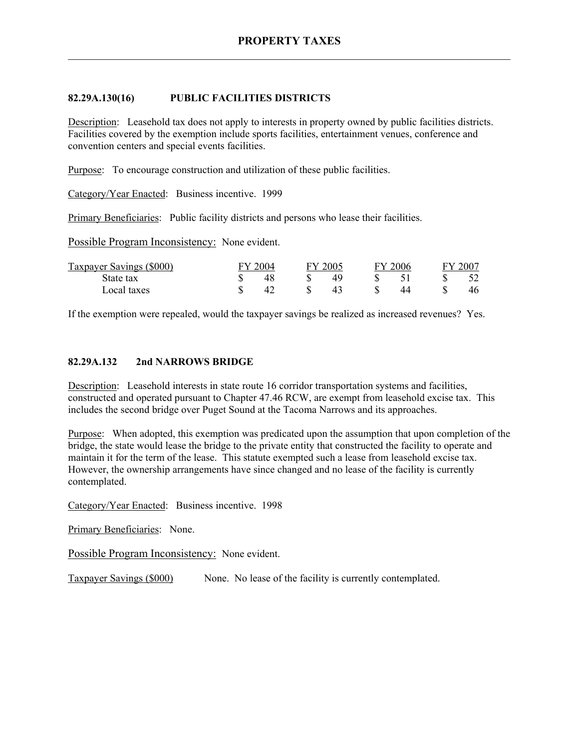# **82.29A.130(16) PUBLIC FACILITIES DISTRICTS**

Description: Leasehold tax does not apply to interests in property owned by public facilities districts. Facilities covered by the exemption include sports facilities, entertainment venues, conference and convention centers and special events facilities.

Purpose: To encourage construction and utilization of these public facilities.

Category/Year Enacted: Business incentive. 1999

Primary Beneficiaries: Public facility districts and persons who lease their facilities.

Possible Program Inconsistency: None evident.

| Taxpayer Savings (\$000) | FY 2004 | FY 2005 | FV. | 2006 | FY 200 <sup>-</sup> |
|--------------------------|---------|---------|-----|------|---------------------|
| State tax                |         | 49      |     |      |                     |
| Local taxes              | 42      | 43      |     | 44   | 46                  |

If the exemption were repealed, would the taxpayer savings be realized as increased revenues? Yes.

# **82.29A.132 2nd NARROWS BRIDGE**

Description: Leasehold interests in state route 16 corridor transportation systems and facilities, constructed and operated pursuant to Chapter 47.46 RCW, are exempt from leasehold excise tax. This includes the second bridge over Puget Sound at the Tacoma Narrows and its approaches.

Purpose: When adopted, this exemption was predicated upon the assumption that upon completion of the bridge, the state would lease the bridge to the private entity that constructed the facility to operate and maintain it for the term of the lease. This statute exempted such a lease from leasehold excise tax. However, the ownership arrangements have since changed and no lease of the facility is currently contemplated.

Category/Year Enacted: Business incentive. 1998

Primary Beneficiaries: None.

Possible Program Inconsistency: None evident.

Taxpayer Savings (\$000) None. No lease of the facility is currently contemplated.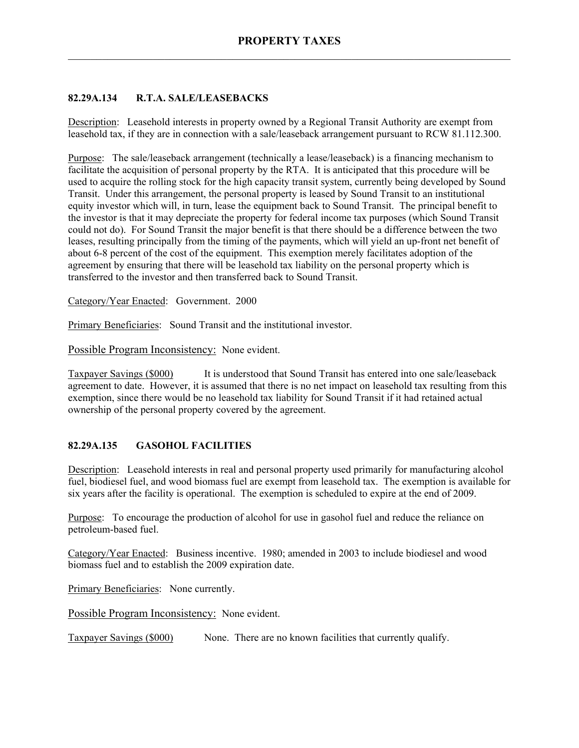# **82.29A.134 R.T.A. SALE/LEASEBACKS**

Description: Leasehold interests in property owned by a Regional Transit Authority are exempt from leasehold tax, if they are in connection with a sale/leaseback arrangement pursuant to RCW 81.112.300.

Purpose: The sale/leaseback arrangement (technically a lease/leaseback) is a financing mechanism to facilitate the acquisition of personal property by the RTA. It is anticipated that this procedure will be used to acquire the rolling stock for the high capacity transit system, currently being developed by Sound Transit. Under this arrangement, the personal property is leased by Sound Transit to an institutional equity investor which will, in turn, lease the equipment back to Sound Transit. The principal benefit to the investor is that it may depreciate the property for federal income tax purposes (which Sound Transit could not do). For Sound Transit the major benefit is that there should be a difference between the two leases, resulting principally from the timing of the payments, which will yield an up-front net benefit of about 6-8 percent of the cost of the equipment. This exemption merely facilitates adoption of the agreement by ensuring that there will be leasehold tax liability on the personal property which is transferred to the investor and then transferred back to Sound Transit.

Category/Year Enacted: Government. 2000

Primary Beneficiaries: Sound Transit and the institutional investor.

Possible Program Inconsistency: None evident.

Taxpayer Savings (\$000) It is understood that Sound Transit has entered into one sale/leaseback agreement to date. However, it is assumed that there is no net impact on leasehold tax resulting from this exemption, since there would be no leasehold tax liability for Sound Transit if it had retained actual ownership of the personal property covered by the agreement.

# **82.29A.135 GASOHOL FACILITIES**

Description: Leasehold interests in real and personal property used primarily for manufacturing alcohol fuel, biodiesel fuel, and wood biomass fuel are exempt from leasehold tax. The exemption is available for six years after the facility is operational. The exemption is scheduled to expire at the end of 2009.

Purpose: To encourage the production of alcohol for use in gasohol fuel and reduce the reliance on petroleum-based fuel.

Category/Year Enacted: Business incentive. 1980; amended in 2003 to include biodiesel and wood biomass fuel and to establish the 2009 expiration date.

Primary Beneficiaries: None currently.

Possible Program Inconsistency: None evident.

Taxpayer Savings (\$000) None. There are no known facilities that currently qualify.